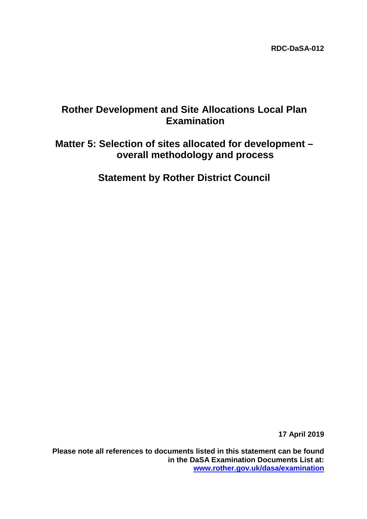## **Rother Development and Site Allocations Local Plan Examination**

# **Matter 5: Selection of sites allocated for development – overall methodology and process**

**Statement by Rother District Council**

**17 April 2019**

**Please note all references to documents listed in this statement can be found in the DaSA Examination Documents List at: [www.rother.gov.uk/dasa/examination](http://www.rother.gov.uk/dasa/examination)**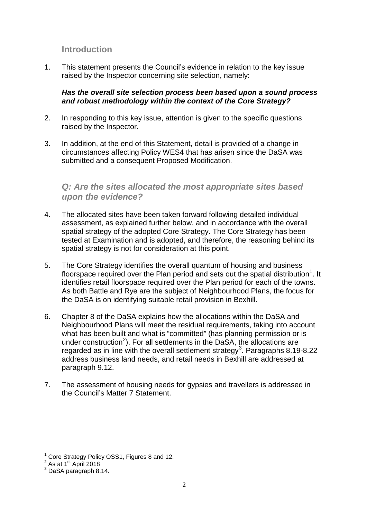## **Introduction**

1. This statement presents the Council's evidence in relation to the key issue raised by the Inspector concerning site selection, namely:

#### *Has the overall site selection process been based upon a sound process and robust methodology within the context of the Core Strategy?*

- 2. In responding to this key issue, attention is given to the specific questions raised by the Inspector.
- 3. In addition, at the end of this Statement, detail is provided of a change in circumstances affecting Policy WES4 that has arisen since the DaSA was submitted and a consequent Proposed Modification.

## *Q: Are the sites allocated the most appropriate sites based upon the evidence?*

- 4. The allocated sites have been taken forward following detailed individual assessment, as explained further below, and in accordance with the overall spatial strategy of the adopted Core Strategy. The Core Strategy has been tested at Examination and is adopted, and therefore, the reasoning behind its spatial strategy is not for consideration at this point.
- 5. The Core Strategy identifies the overall quantum of housing and business floorspace required over the Plan period and sets out the spatial distribution<sup>[1](#page-1-0)</sup>. It identifies retail floorspace required over the Plan period for each of the towns. As both Battle and Rye are the subject of Neighbourhood Plans, the focus for the DaSA is on identifying suitable retail provision in Bexhill.
- 6. Chapter 8 of the DaSA explains how the allocations within the DaSA and Neighbourhood Plans will meet the residual requirements, taking into account what has been built and what is "committed" (has planning permission or is under construction<sup>[2](#page-1-1)</sup>). For all settlements in the DaSA, the allocations are regarded as in line with the overall settlement strategy<sup>[3](#page-1-2)</sup>. Paragraphs 8.19-8.22 address business land needs, and retail needs in Bexhill are addressed at paragraph 9.12.
- 7. The assessment of housing needs for gypsies and travellers is addressed in the Council's Matter 7 Statement.

<span id="page-1-1"></span><span id="page-1-0"></span><sup>&</sup>lt;sup>1</sup> Core Strategy Policy OSS1, Figures 8 and 12.<br>  $2^{2}$  As at 1<sup>st</sup> April 2018<br>  $3$  DaSA paragraph 8.14.

<span id="page-1-2"></span>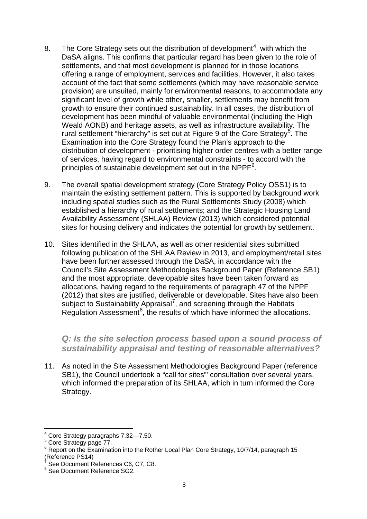- 8. The Core Strategy sets out the distribution of development<sup>[4](#page-2-0)</sup>, with which the DaSA aligns. This confirms that particular regard has been given to the role of settlements, and that most development is planned for in those locations offering a range of employment, services and facilities. However, it also takes account of the fact that some settlements (which may have reasonable service provision) are unsuited, mainly for environmental reasons, to accommodate any significant level of growth while other, smaller, settlements may benefit from growth to ensure their continued sustainability. In all cases, the distribution of development has been mindful of valuable environmental (including the High Weald AONB) and heritage assets, as well as infrastructure availability. The rural settlement "hierarchy" is set out at Figure 9 of the Core Strategy<sup>[5](#page-2-1)</sup>. The Examination into the Core Strategy found the Plan's approach to the distribution of development - prioritising higher order centres with a better range of services, having regard to environmental constraints - to accord with the principles of sustainable development set out in the NPPF $^6$  $^6$ .
- 9. The overall spatial development strategy (Core Strategy Policy OSS1) is to maintain the existing settlement pattern. This is supported by background work including spatial studies such as the Rural Settlements Study (2008) which established a hierarchy of rural settlements; and the Strategic Housing Land Availability Assessment (SHLAA) Review (2013) which considered potential sites for housing delivery and indicates the potential for growth by settlement.
- 10. Sites identified in the SHLAA, as well as other residential sites submitted following publication of the SHLAA Review in 2013, and employment/retail sites have been further assessed through the DaSA, in accordance with the Council's Site Assessment Methodologies Background Paper (Reference SB1) and the most appropriate, developable sites have been taken forward as allocations, having regard to the requirements of paragraph 47 of the NPPF (2012) that sites are justified, deliverable or developable. Sites have also been subject to Sustainability Appraisal<sup>[7](#page-2-3)</sup>, and screening through the Habitats Regulation Assessment $8$ , the results of which have informed the allocations.

*Q: Is the site selection process based upon a sound process of sustainability appraisal and testing of reasonable alternatives?*

11. As noted in the Site Assessment Methodologies Background Paper (reference SB1), the Council undertook a "call for sites"' consultation over several years, which informed the preparation of its SHLAA, which in turn informed the Core Strategy.

<sup>4</sup> Core Strategy paragraphs 7.32—7.50.

<span id="page-2-1"></span><span id="page-2-0"></span><sup>&</sup>lt;sup>5</sup> Core Strategy page 77.

<span id="page-2-2"></span> $6$  Report on the Examination into the Rother Local Plan Core Strategy, 10/7/14, paragraph 15 (Reference PS14)

<span id="page-2-3"></span>See Document References C6, C7, C8.

<span id="page-2-4"></span><sup>&</sup>lt;sup>8</sup> See Document Reference SG2.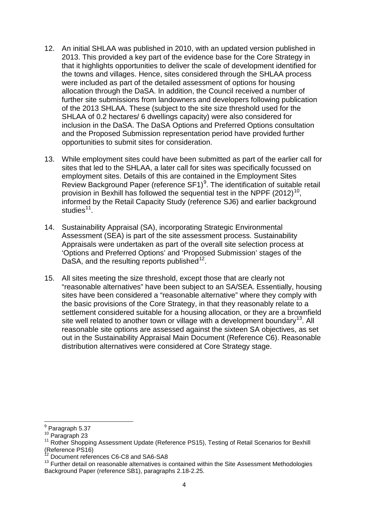- 12. An initial SHLAA was published in 2010, with an updated version published in 2013. This provided a key part of the evidence base for the Core Strategy in that it highlights opportunities to deliver the scale of development identified for the towns and villages. Hence, sites considered through the SHLAA process were included as part of the detailed assessment of options for housing allocation through the DaSA. In addition, the Council received a number of further site submissions from landowners and developers following publication of the 2013 SHLAA. These (subject to the site size threshold used for the SHLAA of 0.2 hectares/ 6 dwellings capacity) were also considered for inclusion in the DaSA. The DaSA Options and Preferred Options consultation and the Proposed Submission representation period have provided further opportunities to submit sites for consideration.
- 13. While employment sites could have been submitted as part of the earlier call for sites that led to the SHLAA, a later call for sites was specifically focussed on employment sites. Details of this are contained in the Employment Sites Review Background Paper (reference SF1)<sup>[9](#page-3-0)</sup>. The identification of suitable retail provision in Bexhill has followed the sequential test in the NPPF  $(2012)^{10}$ , informed by the Retail Capacity Study (reference SJ6) and earlier background studies<sup>11</sup>.
- 14. Sustainability Appraisal (SA), incorporating Strategic Environmental Assessment (SEA) is part of the site assessment process. Sustainability Appraisals were undertaken as part of the overall site selection process at 'Options and Preferred Options' and 'Proposed Submission' stages of the DaSA, and the resulting reports published<sup>12</sup>.
- 15. All sites meeting the size threshold, except those that are clearly not "reasonable alternatives" have been subject to an SA/SEA. Essentially, housing sites have been considered a "reasonable alternative" where they comply with the basic provisions of the Core Strategy, in that they reasonably relate to a settlement considered suitable for a housing allocation, or they are a brownfield site well related to another town or village with a development boundary<sup>13</sup>. All reasonable site options are assessed against the sixteen SA objectives, as set out in the Sustainability Appraisal Main Document (Reference C6). Reasonable distribution alternatives were considered at Core Strategy stage.

<span id="page-3-0"></span> $\frac{9}{10}$  Paragraph 5.37<br> $\frac{10}{10}$  Paragraph 23

<span id="page-3-2"></span><span id="page-3-1"></span><sup>&</sup>lt;sup>11</sup> Rother Shopping Assessment Update (Reference PS15), Testing of Retail Scenarios for Bexhill (Reference PS16)

<sup>12</sup> Document references C6-C8 and SA6-SA8

<span id="page-3-4"></span><span id="page-3-3"></span> $13$  Further detail on reasonable alternatives is contained within the Site Assessment Methodologies Background Paper (reference SB1), paragraphs 2.18-2.25.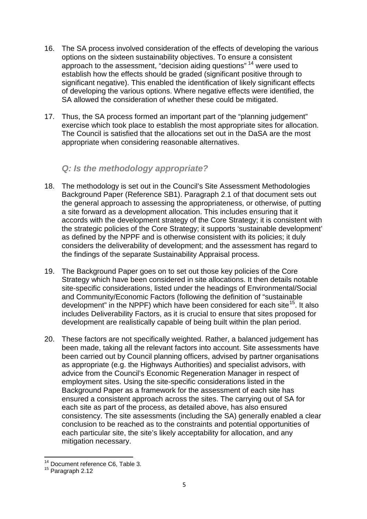- 16. The SA process involved consideration of the effects of developing the various options on the sixteen sustainability objectives. To ensure a consistent approach to the assessment, "decision aiding questions" [14](#page-4-0) were used to establish how the effects should be graded (significant positive through to significant negative). This enabled the identification of likely significant effects of developing the various options. Where negative effects were identified, the SA allowed the consideration of whether these could be mitigated.
- 17. Thus, the SA process formed an important part of the "planning judgement" exercise which took place to establish the most appropriate sites for allocation. The Council is satisfied that the allocations set out in the DaSA are the most appropriate when considering reasonable alternatives.

### *Q: Is the methodology appropriate?*

- 18. The methodology is set out in the Council's Site Assessment Methodologies Background Paper (Reference SB1). Paragraph 2.1 of that document sets out the general approach to assessing the appropriateness, or otherwise, of putting a site forward as a development allocation. This includes ensuring that it accords with the development strategy of the Core Strategy; it is consistent with the strategic policies of the Core Strategy; it supports 'sustainable development' as defined by the NPPF and is otherwise consistent with its policies; it duly considers the deliverability of development; and the assessment has regard to the findings of the separate Sustainability Appraisal process.
- 19. The Background Paper goes on to set out those key policies of the Core Strategy which have been considered in site allocations. It then details notable site-specific considerations, listed under the headings of Environmental/Social and Community/Economic Factors (following the definition of "sustainable development" in the NPPF) which have been considered for each site<sup>15</sup>. It also includes Deliverability Factors, as it is crucial to ensure that sites proposed for development are realistically capable of being built within the plan period.
- 20. These factors are not specifically weighted. Rather, a balanced judgement has been made, taking all the relevant factors into account. Site assessments have been carried out by Council planning officers, advised by partner organisations as appropriate (e.g. the Highways Authorities) and specialist advisors, with advice from the Council's Economic Regeneration Manager in respect of employment sites. Using the site-specific considerations listed in the Background Paper as a framework for the assessment of each site has ensured a consistent approach across the sites. The carrying out of SA for each site as part of the process, as detailed above, has also ensured consistency. The site assessments (including the SA) generally enabled a clear conclusion to be reached as to the constraints and potential opportunities of each particular site, the site's likely acceptability for allocation, and any mitigation necessary.

<span id="page-4-0"></span><sup>&</sup>lt;sup>14</sup> Document reference C6, Table 3.

<span id="page-4-1"></span> $15$  Paragraph 2.12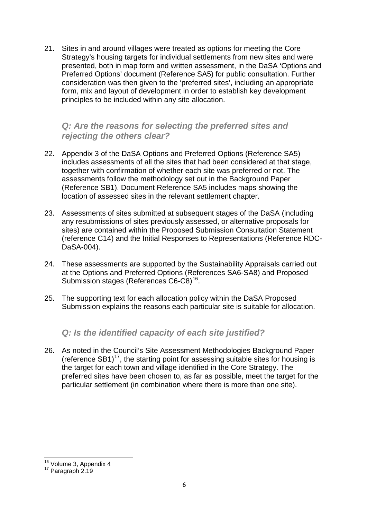21. Sites in and around villages were treated as options for meeting the Core Strategy's housing targets for individual settlements from new sites and were presented, both in map form and written assessment, in the DaSA 'Options and Preferred Options' document (Reference SA5) for public consultation. Further consideration was then given to the 'preferred sites', including an appropriate form, mix and layout of development in order to establish key development principles to be included within any site allocation.

#### *Q: Are the reasons for selecting the preferred sites and rejecting the others clear?*

- 22. Appendix 3 of the DaSA Options and Preferred Options (Reference SA5) includes assessments of all the sites that had been considered at that stage, together with confirmation of whether each site was preferred or not. The assessments follow the methodology set out in the Background Paper (Reference SB1). Document Reference SA5 includes maps showing the location of assessed sites in the relevant settlement chapter.
- 23. Assessments of sites submitted at subsequent stages of the DaSA (including any resubmissions of sites previously assessed, or alternative proposals for sites) are contained within the Proposed Submission Consultation Statement (reference C14) and the Initial Responses to Representations (Reference RDC-DaSA-004).
- 24. These assessments are supported by the Sustainability Appraisals carried out at the Options and Preferred Options (References SA6-SA8) and Proposed Submission stages (References C6-C8)<sup>[16](#page-5-0)</sup>.
- 25. The supporting text for each allocation policy within the DaSA Proposed Submission explains the reasons each particular site is suitable for allocation.

## *Q: Is the identified capacity of each site justified?*

26. As noted in the Council's Site Assessment Methodologies Background Paper (reference  $SB1$ )<sup>[17](#page-5-1)</sup>, the starting point for assessing suitable sites for housing is the target for each town and village identified in the Core Strategy. The preferred sites have been chosen to, as far as possible, meet the target for the particular settlement (in combination where there is more than one site).

<span id="page-5-1"></span><span id="page-5-0"></span> $16$  Volume 3, Appendix 4<br> $17$  Paragraph 2.19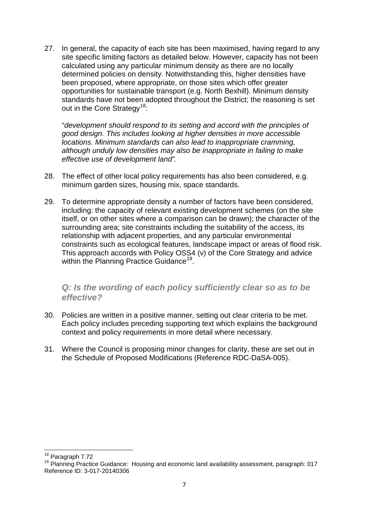27. In general, the capacity of each site has been maximised, having regard to any site specific limiting factors as detailed below. However, capacity has not been calculated using any particular minimum density as there are no locally determined policies on density. Notwithstanding this, higher densities have been proposed, where appropriate, on those sites which offer greater opportunities for sustainable transport (e.g. North Bexhill). Minimum density standards have not been adopted throughout the District; the reasoning is set out in the Core Strategy<sup>[18](#page-6-0)</sup>:

"*development should respond to its setting and accord with the principles of good design. This includes looking at higher densities in more accessible locations. Minimum standards can also lead to inappropriate cramming, although unduly low densities may also be inappropriate in failing to make effective use of development land".*

- 28. The effect of other local policy requirements has also been considered, e.g. minimum garden sizes, housing mix, space standards.
- 29. To determine appropriate density a number of factors have been considered, including: the capacity of relevant existing development schemes (on the site itself, or on other sites where a comparison can be drawn); the character of the surrounding area; site constraints including the suitability of the access, its relationship with adjacent properties, and any particular environmental constraints such as ecological features, landscape impact or areas of flood risk. This approach accords with Policy OSS4 (v) of the Core Strategy and advice within the Planning Practice Guidance<sup>19</sup>.

#### *Q: Is the wording of each policy sufficiently clear so as to be effective?*

- 30. Policies are written in a positive manner, setting out clear criteria to be met. Each policy includes preceding supporting text which explains the background context and policy requirements in more detail where necessary.
- 31. Where the Council is proposing minor changes for clarity, these are set out in the Schedule of Proposed Modifications (Reference RDC-DaSA-005).

<span id="page-6-0"></span><sup>18</sup> Paragraph 7.72

<span id="page-6-1"></span><sup>&</sup>lt;sup>19</sup> Planning Practice Guidance: Housing and economic land availability assessment, paragraph: 017 Reference ID: 3-017-20140306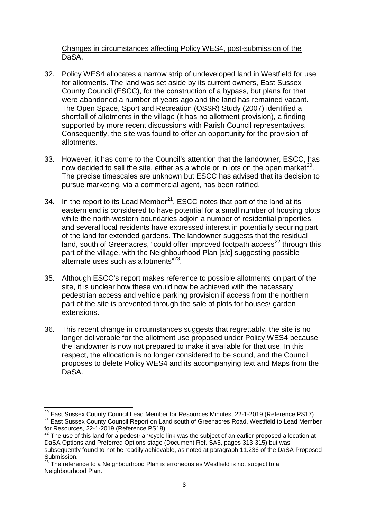#### Changes in circumstances affecting Policy WES4, post-submission of the DaSA.

- 32. Policy WES4 allocates a narrow strip of undeveloped land in Westfield for use for allotments. The land was set aside by its current owners, East Sussex County Council (ESCC), for the construction of a bypass, but plans for that were abandoned a number of years ago and the land has remained vacant. The Open Space, Sport and Recreation (OSSR) Study (2007) identified a shortfall of allotments in the village (it has no allotment provision), a finding supported by more recent discussions with Parish Council representatives. Consequently, the site was found to offer an opportunity for the provision of allotments.
- 33. However, it has come to the Council's attention that the landowner, ESCC, has now decided to sell the site, either as a whole or in lots on the open market<sup>20</sup>. The precise timescales are unknown but ESCC has advised that its decision to pursue marketing, via a commercial agent, has been ratified.
- 34. In the report to its Lead Member<sup>[21](#page-7-1)</sup>, ESCC notes that part of the land at its eastern end is considered to have potential for a small number of housing plots while the north-western boundaries adjoin a number of residential properties, and several local residents have expressed interest in potentially securing part of the land for extended gardens. The landowner suggests that the residual land, south of Greenacres, "could offer improved footpath access<sup>[22](#page-7-2)</sup> through this part of the village, with the Neighbourhood Plan [*sic*] suggesting possible alternate uses such as allotments"<sup>23</sup>.
- 35. Although ESCC's report makes reference to possible allotments on part of the site, it is unclear how these would now be achieved with the necessary pedestrian access and vehicle parking provision if access from the northern part of the site is prevented through the sale of plots for houses/ garden extensions.
- 36. This recent change in circumstances suggests that regrettably, the site is no longer deliverable for the allotment use proposed under Policy WES4 because the landowner is now not prepared to make it available for that use. In this respect, the allocation is no longer considered to be sound, and the Council proposes to delete Policy WES4 and its accompanying text and Maps from the DaSA.

<span id="page-7-1"></span><span id="page-7-0"></span>

<sup>&</sup>lt;sup>20</sup> East Sussex County Council Lead Member for Resources Minutes, 22-1-2019 (Reference PS17)<br><sup>21</sup> East Sussex County Council Report on Land south of Greenacres Road, Westfield to Lead Member<br>for Resources, 22-1-2019 (Ref

<span id="page-7-2"></span> $22$  The use of this land for a pedestrian/cycle link was the subiect of an earlier proposed allocation at DaSA Options and Preferred Options stage (Document Ref. SA5, pages 313-315) but was subsequently found to not be readily achievable, as noted at paragraph 11.236 of the DaSA Proposed Submission.

<span id="page-7-3"></span><sup>3000111551011.&</sup>lt;br><sup>23</sup> The reference to a Neighbourhood Plan is erroneous as Westfield is not subject to a Neighbourhood Plan.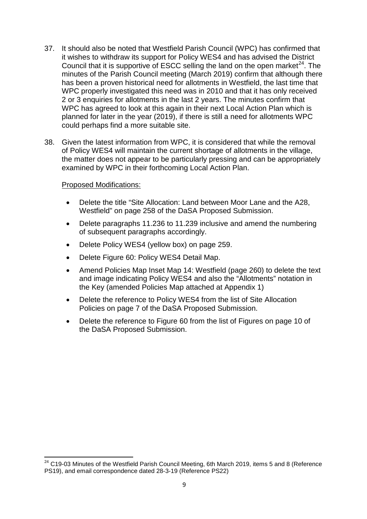- 37. It should also be noted that Westfield Parish Council (WPC) has confirmed that it wishes to withdraw its support for Policy WES4 and has advised the District Council that it is supportive of ESCC selling the land on the open market<sup>[24](#page-8-0)</sup>. The minutes of the Parish Council meeting (March 2019) confirm that although there has been a proven historical need for allotments in Westfield, the last time that WPC properly investigated this need was in 2010 and that it has only received 2 or 3 enquiries for allotments in the last 2 years. The minutes confirm that WPC has agreed to look at this again in their next Local Action Plan which is planned for later in the year (2019), if there is still a need for allotments WPC could perhaps find a more suitable site.
- 38. Given the latest information from WPC, it is considered that while the removal of Policy WES4 will maintain the current shortage of allotments in the village, the matter does not appear to be particularly pressing and can be appropriately examined by WPC in their forthcoming Local Action Plan.

#### Proposed Modifications:

- Delete the title "Site Allocation: Land between Moor Lane and the A28, Westfield" on page 258 of the DaSA Proposed Submission.
- Delete paragraphs 11.236 to 11.239 inclusive and amend the numbering of subsequent paragraphs accordingly.
- Delete Policy WES4 (yellow box) on page 259.
- Delete Figure 60: Policy WES4 Detail Map.
- Amend Policies Map Inset Map 14: Westfield (page 260) to delete the text and image indicating Policy WES4 and also the "Allotments" notation in the Key (amended Policies Map attached at Appendix 1)
- Delete the reference to Policy WES4 from the list of Site Allocation Policies on page 7 of the DaSA Proposed Submission.
- Delete the reference to Figure 60 from the list of Figures on page 10 of the DaSA Proposed Submission.

<span id="page-8-0"></span><sup>&</sup>lt;sup>24</sup> C19-03 Minutes of the Westfield Parish Council Meeting, 6th March 2019, items 5 and 8 (Reference PS19), and email correspondence dated 28-3-19 (Reference PS22)